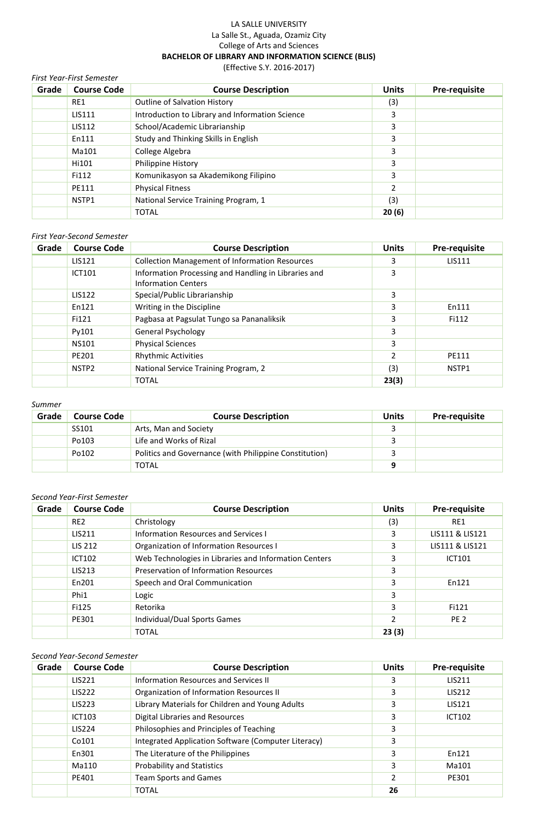# LA SALLE UNIVERSITY La Salle St., Aguada, Ozamiz City College of Arts and Sciences **BACHELOR OF LIBRARY AND INFORMATION SCIENCE (BLIS)**

(Effective S.Y. 2016-2017)

| <b>First Year-First Semester</b> |                    |                                                 |              |               |  |
|----------------------------------|--------------------|-------------------------------------------------|--------------|---------------|--|
| Grade                            | <b>Course Code</b> | <b>Course Description</b>                       | <b>Units</b> | Pre-requisite |  |
|                                  | RE1                | Outline of Salvation History                    | (3)          |               |  |
|                                  | <b>LIS111</b>      | Introduction to Library and Information Science | 3            |               |  |
|                                  | <b>LIS112</b>      | School/Academic Librarianship                   | 3            |               |  |
|                                  | En111              | Study and Thinking Skills in English            | 3            |               |  |
|                                  | Ma101              | College Algebra                                 | 3            |               |  |
|                                  | Hi101              | Philippine History                              | 3            |               |  |
|                                  | Fi112              | Komunikasyon sa Akademikong Filipino            | 3            |               |  |
|                                  | PE111              | <b>Physical Fitness</b>                         | 2            |               |  |
|                                  | NSTP1              | National Service Training Program, 1            | (3)          |               |  |
|                                  |                    | <b>TOTAL</b>                                    | 20(6)        |               |  |

#### *First Year-Second Semester*

| Grade | <b>Course Code</b> | <b>Course Description</b>                                                          | <b>Units</b>  | Pre-requisite |
|-------|--------------------|------------------------------------------------------------------------------------|---------------|---------------|
|       | <b>LIS121</b>      | <b>Collection Management of Information Resources</b>                              | 3             | <b>LIS111</b> |
|       | <b>ICT101</b>      | Information Processing and Handling in Libraries and<br><b>Information Centers</b> | 3             |               |
|       | <b>LIS122</b>      | Special/Public Librarianship                                                       | 3.            |               |
|       | En121              | Writing in the Discipline                                                          | 3             | En111         |
|       | Fi121              | Pagbasa at Pagsulat Tungo sa Pananaliksik                                          | 3             | Fi112         |
|       | Py101              | <b>General Psychology</b>                                                          | 3             |               |
|       | <b>NS101</b>       | <b>Physical Sciences</b>                                                           | 3             |               |
|       | PE201              | <b>Rhythmic Activities</b>                                                         | $\mathcal{P}$ | PE111         |
|       | NSTP2              | National Service Training Program, 2                                               | (3)           | NSTP1         |
|       |                    | <b>TOTAL</b>                                                                       | 23(3)         |               |

#### *Summer*

| Grade | <b>Course Code</b> | <b>Course Description</b>                              | <b>Units</b> | <b>Pre-requisite</b> |
|-------|--------------------|--------------------------------------------------------|--------------|----------------------|
|       | SS101              | Arts, Man and Society                                  |              |                      |
|       | Po103              | Life and Works of Rizal                                |              |                      |
|       | Po102              | Politics and Governance (with Philippine Constitution) |              |                      |
|       |                    | TOTAL                                                  |              |                      |

## *Second Year-First Semester*

| Grade | <b>Course Code</b> | <b>Course Description</b>                             | <b>Units</b> | Pre-requisite   |
|-------|--------------------|-------------------------------------------------------|--------------|-----------------|
|       | RE <sub>2</sub>    | Christology                                           | (3)          | RE1             |
|       | LIS211             | Information Resources and Services I                  | 3            | LIS111 & LIS121 |
|       | <b>LIS 212</b>     | Organization of Information Resources I               | 3            | LIS111 & LIS121 |
|       | <b>ICT102</b>      | Web Technologies in Libraries and Information Centers | 3            | <b>ICT101</b>   |
|       | LIS213             | <b>Preservation of Information Resources</b>          | 3            |                 |
|       | En201              | Speech and Oral Communication                         | 3            | En121           |
|       | Phi1               | Logic                                                 | 3            |                 |
|       | Fi125              | Retorika                                              | 3            | Fi121           |
|       | PE301              | Individual/Dual Sports Games                          | 2            | PE <sub>2</sub> |
|       |                    | <b>TOTAL</b>                                          | 23(3)        |                 |

## *Second Year-Second Semester*

| Grade | <b>Course Code</b> | <b>Course Description</b>                           | <b>Units</b>   | Pre-requisite |
|-------|--------------------|-----------------------------------------------------|----------------|---------------|
|       | <b>LIS221</b>      | Information Resources and Services II               | 3              | <b>LIS211</b> |
|       | <b>LIS222</b>      | Organization of Information Resources II            | 3              | <b>LIS212</b> |
|       | <b>LIS223</b>      | Library Materials for Children and Young Adults     | 3              | LIS121        |
|       | <b>ICT103</b>      | Digital Libraries and Resources                     | 3              | <b>ICT102</b> |
|       | LIS224             | Philosophies and Principles of Teaching             | 3              |               |
|       | Co101              | Integrated Application Software (Computer Literacy) | 3              |               |
|       | En301              | The Literature of the Philippines                   | 3              | En121         |
|       | Ma110              | <b>Probability and Statistics</b>                   | 3              | Ma101         |
|       | PE401              | <b>Team Sports and Games</b>                        | $\overline{2}$ | PE301         |
|       |                    | <b>TOTAL</b>                                        | 26             |               |